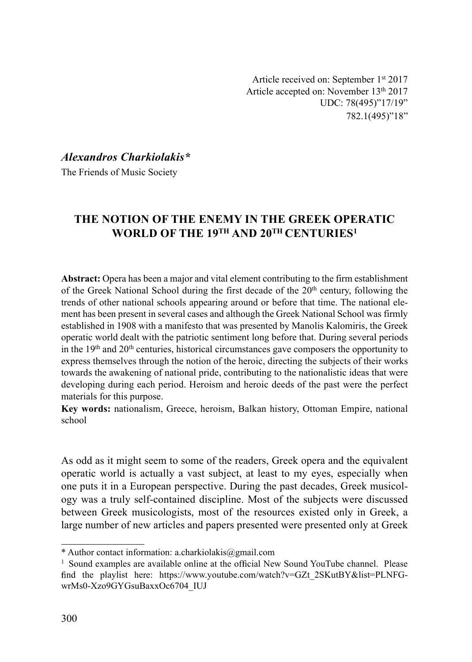Article received on: September 1st 2017 Article accepted on: November 13th 2017 UDC: 78(495)"17/19" 782.1(495)"18"

## Alexandros Charkiolakis\*

The Friends of Music Society

# THE NOTION OF THE ENEMY IN THE GREEK OPERATIC WORLD OF THE 19TH AND 20TH CENTURIES<sup>1</sup>

Abstract: Opera has been a major and vital element contributing to the firm establishment of the Greek National School during the first decade of the 20<sup>th</sup> century, following the trends of other national schools appearing around or before that time. The national element has been present in several cases and although the Greek National School was firmly established in 1908 with a manifesto that was presented by Manolis Kalomiris, the Greek operatic world dealt with the patriotic sentiment long before that. During several periods in the 19<sup>th</sup> and 20<sup>th</sup> centuries, historical circumstances gave composers the opportunity to express themselves through the notion of the heroic, directing the subjects of their works towards the awakening of national pride, contributing to the nationalistic ideas that were developing during each period. Heroism and heroic deeds of the past were the perfect materials for this purpose.

Key words: nationalism, Greece, heroism, Balkan history, Ottoman Empire, national school

As odd as it might seem to some of the readers, Greek opera and the equivalent operatic world is actually a vast subject, at least to my eyes, especially when one puts it in a European perspective. During the past decades, Greek musicology was a truly self-contained discipline. Most of the subjects were discussed between Greek musicologists, most of the resources existed only in Greek, a large number of new articles and papers presented were presented only at Greek

<sup>\*</sup> Author contact information: a.charkiolakis@gmail.com

 $<sup>1</sup>$  Sound examples are available online at the official New Sound YouTube channel. Please</sup> find the playlist here: https://www.youtube.com/watch?v=GZt 2SKutBY&list=PLNFGwrMs0-Xzo9GYGsuBaxxOc6704\_IUJ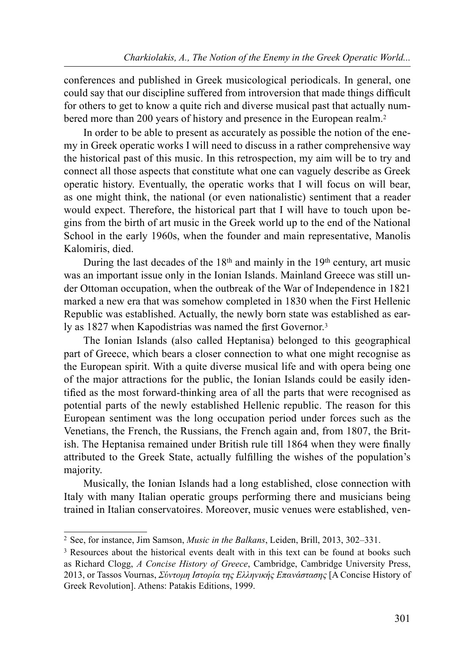conferences and published in Greek musicological periodicals. In general, one could say that our discipline suffered from introversion that made things difficult for others to get to know a quite rich and diverse musical past that actually numbered more than 200 years of history and presence in the European realm.<sup>2</sup>

In order to be able to present as accurately as possible the notion of the enemy in Greek operatic works I will need to discuss in a rather comprehensive way the historical past of this music. In this retrospection, my aim will be to try and connect all those aspects that constitute what one can vaguely describe as Greek operatic history. Eventually, the operatic works that I will focus on will bear, as one might think, the national (or even nationalistic) sentiment that a reader would expect. Therefore, the historical part that I will have to touch upon begins from the birth of art music in the Greek world up to the end of the National School in the early 1960s, when the founder and main representative, Manolis Kalomiris, died.

During the last decades of the  $18<sup>th</sup>$  and mainly in the  $19<sup>th</sup>$  century, art music was an important issue only in the Ionian Islands. Mainland Greece was still under Ottoman occupation, when the outbreak of the War of Independence in 1821 marked a new era that was somehow completed in 1830 when the First Hellenic Republic was established. Actually, the newly born state was established as early as 1827 when Kapodistrias was named the first Governor.<sup>3</sup>

The Ionian Islands (also called Heptanisa) belonged to this geographical part of Greece, which bears a closer connection to what one might recognise as the European spirit. With a quite diverse musical life and with opera being one of the major attractions for the public, the Ionian Islands could be easily identified as the most forward-thinking area of all the parts that were recognised as potential parts of the newly established Hellenic republic. The reason for this European sentiment was the long occupation period under forces such as the Venetians, the French, the Russians, the French again and, from 1807, the British. The Heptanisa remained under British rule till 1864 when they were finally attributed to the Greek State, actually fulfilling the wishes of the population's majority.

Musically, the Ionian Islands had a long established, close connection with Italy with many Italian operatic groups performing there and musicians being trained in Italian conservatoires. Moreover, music venues were established, ven-

<sup>2</sup> See, for instance, Jim Samson, Music in the Balkans, Leiden, Brill, 2013, 302–331.

<sup>3</sup> Resources about the historical events dealt with in this text can be found at books such as Richard Clogg, A Concise History of Greece, Cambridge, Cambridge University Press, 2013, or Tassos Vournas, Σύντομη Ιστορία της Ελληνικής Επανάστασης [A Concise History of Greek Revolution]. Athens: Patakis Editions, 1999.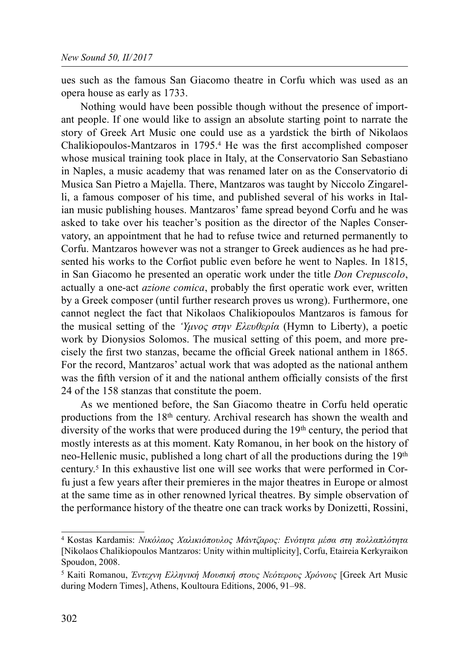ues such as the famous San Giacomo theatre in Corfu which was used as an opera house as early as 1733.

Nothing would have been possible though without the presence of important people. If one would like to assign an absolute starting point to narrate the story of Greek Art Music one could use as a yardstick the birth of Nikolaos Chalikiopoulos-Mantzaros in 1795.<sup>4</sup> He was the first accomplished composer whose musical training took place in Italy, at the Conservatorio San Sebastiano in Naples, a music academy that was renamed later on as the Conservatorio di Musica San Pietro a Majella. There, Mantzaros was taught by Niccolo Zingarelli, a famous composer of his time, and published several of his works in Italian music publishing houses. Mantzaros' fame spread beyond Corfu and he was asked to take over his teacher's position as the director of the Naples Conservatory, an appointment that he had to refuse twice and returned permanently to Corfu. Mantzaros however was not a stranger to Greek audiences as he had presented his works to the Corfiot public even before he went to Naples. In 1815, in San Giacomo he presented an operatic work under the title Don Crepuscolo, actually a one-act *azione comica*, probably the first operatic work ever, written by a Greek composer (until further research proves us wrong). Furthermore, one cannot neglect the fact that Nikolaos Chalikiopoulos Mantzaros is famous for the musical setting of the 'Υμνος στην Ελευθερία (Hymn to Liberty), a poetic work by Dionysios Solomos. The musical setting of this poem, and more precisely the first two stanzas, became the official Greek national anthem in 1865. For the record, Mantzaros' actual work that was adopted as the national anthem was the fifth version of it and the national anthem officially consists of the first 24 of the 158 stanzas that constitute the poem.

As we mentioned before, the San Giacomo theatre in Corfu held operatic productions from the 18th century. Archival research has shown the wealth and diversity of the works that were produced during the 19<sup>th</sup> century, the period that mostly interests as at this moment. Katy Romanou, in her book on the history of neo-Hellenic music, published a long chart of all the productions during the 19<sup>th</sup> century.5 In this exhaustive list one will see works that were performed in Corfu just a few years after their premieres in the major theatres in Europe or almost at the same time as in other renowned lyrical theatres. By simple observation of the performance history of the theatre one can track works by Donizetti, Rossini,

<sup>4</sup> Kostas Kardamis: Νικόλαος Χαλικιόπουλος Μάντζαρος: Ενότητα μέσα στη πολλαπλότητα [Nikolaos Chalikiopoulos Mantzaros: Unity within multiplicity], Corfu, Etaireia Kerkyraikon Spoudon, 2008.

<sup>&</sup>lt;sup>5</sup> Kaiti Romanou, *Έντεχνη Ελληνική Μουσική στους Νεότερους Χρόνους* [Greek Art Music during Modern Times], Athens, Koultoura Editions, 2006, 91–98.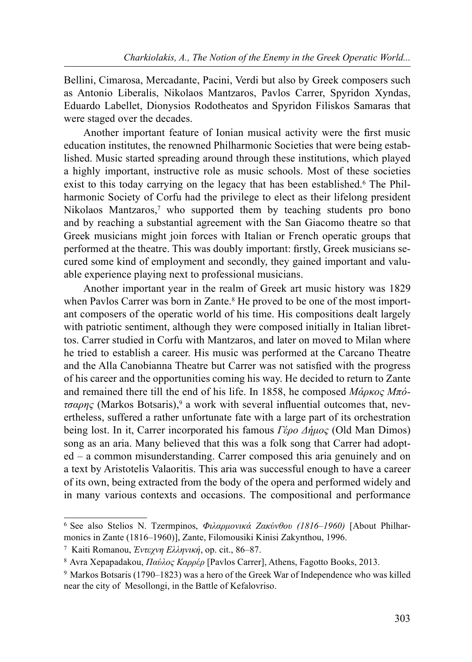Bellini, Cimarosa, Mercadante, Pacini, Verdi but also by Greek composers such as Antonio Liberalis, Nikolaos Mantzaros, Pavlos Carrer, Spyridon Xyndas, Eduardo Labellet, Dionysios Rodotheatos and Spyridon Filiskos Samaras that were staged over the decades.

Another important feature of Ionian musical activity were the first music education institutes, the renowned Philharmonic Societies that were being established. Music started spreading around through these institutions, which played a highly important, instructive role as music schools. Most of these societies exist to this today carrying on the legacy that has been established.<sup>6</sup> The Philharmonic Society of Corfu had the privilege to elect as their lifelong president Nikolaos Mantzaros,<sup>7</sup> who supported them by teaching students pro bono and by reaching a substantial agreement with the San Giacomo theatre so that Greek musicians might join forces with Italian or French operatic groups that performed at the theatre. This was doubly important: firstly, Greek musicians secured some kind of employment and secondly, they gained important and valuable experience playing next to professional musicians.

Another important year in the realm of Greek art music history was 1829 when Pavlos Carrer was born in Zante.<sup>8</sup> He proved to be one of the most important composers of the operatic world of his time. His compositions dealt largely with patriotic sentiment, although they were composed initially in Italian librettos. Carrer studied in Corfu with Mantzaros, and later on moved to Milan where he tried to establish a career. His music was performed at the Carcano Theatre and the Alla Canobianna Theatre but Carrer was not satisfied with the progress of his career and the opportunities coming his way. He decided to return to Zante and remained there till the end of his life. In 1858, he composed  $M\acute{\alpha}p\kappa$   $\alpha\bar{\gamma}$  $\tau \sigma \alpha \rho \eta \varsigma$  (Markos Botsaris),<sup>9</sup> a work with several influential outcomes that, nevertheless, suffered a rather unfortunate fate with a large part of its orchestration being lost. In it, Carrer incorporated his famous  $\Gamma \varepsilon \rho \rho \Delta \eta \mu o \varsigma$  (Old Man Dimos) song as an aria. Many believed that this was a folk song that Carrer had adopted – a common misunderstanding. Carrer composed this aria genuinely and on a text by Aristotelis Valaoritis. This aria was successful enough to have a career of its own, being extracted from the body of the opera and performed widely and in many various contexts and occasions. The compositional and performance

<sup>6</sup> See also Stelios N. Tzermpinos, Φιλαρμονικά Ζακύνθου (1816–1960) [About Philharmonics in Zante (1816–1960)], Zante, Filomousiki Kinisi Zakynthou, 1996.

<sup>7</sup> Kaiti Romanou, Έντεχνη Ελληνική, op. cit., 86–87.

<sup>&</sup>lt;sup>8</sup> Avra Xepapadakou, Παύλος Καρρέρ [Pavlos Carrer], Athens, Fagotto Books, 2013.

<sup>9</sup> Markos Botsaris (1790–1823) was a hero of the Greek War of Independence who was killed near the city of Mesollongi, in the Battle of Kefalovriso.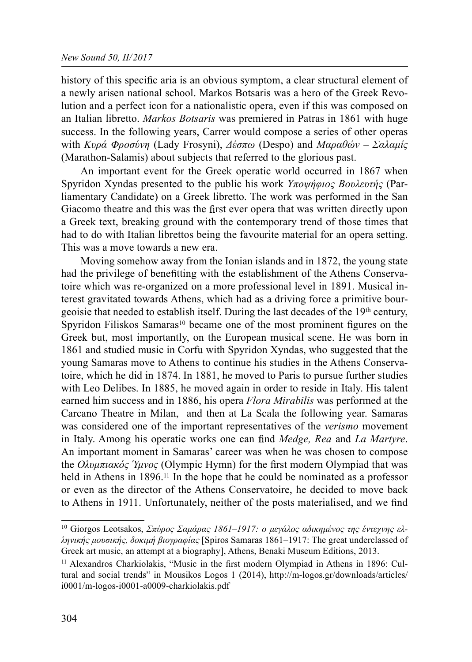history of this specific aria is an obvious symptom, a clear structural element of a newly arisen national school. Markos Botsaris was a hero of the Greek Revolution and a perfect icon for a nationalistic opera, even if this was composed on an Italian libretto. Markos Botsaris was premiered in Patras in 1861 with huge success. In the following years, Carrer would compose a series of other operas with Κυρά Φροσύνη (Lady Frosyni), Δέσπω (Despo) and Μαραθών – Σαλαμίς (Marathon-Salamis) about subjects that referred to the glorious past.

An important event for the Greek operatic world occurred in 1867 when Spyridon Xyndas presented to the public his work Υποψήφιος Βουλευτής (Parliamentary Candidate) on a Greek libretto. The work was performed in the San Giacomo theatre and this was the first ever opera that was written directly upon a Greek text, breaking ground with the contemporary trend of those times that had to do with Italian librettos being the favourite material for an opera setting. This was a move towards a new era.

Moving somehow away from the Ionian islands and in 1872, the young state had the privilege of benefitting with the establishment of the Athens Conservatoire which was re-organized on a more professional level in 1891. Musical interest gravitated towards Athens, which had as a driving force a primitive bourgeoisie that needed to establish itself. During the last decades of the  $19<sup>th</sup>$  century, Spyridon Filiskos Samaras<sup>10</sup> became one of the most prominent figures on the Greek but, most importantly, on the European musical scene. He was born in 1861 and studied music in Corfu with Spyridon Xyndas, who suggested that the young Samaras move to Athens to continue his studies in the Athens Conservatoire, which he did in 1874. In 1881, he moved to Paris to pursue further studies with Leo Delibes. In 1885, he moved again in order to reside in Italy. His talent earned him success and in 1886, his opera *Flora Mirabilis* was performed at the Carcano Theatre in Milan, and then at La Scala the following year. Samaras was considered one of the important representatives of the *verismo* movement in Italy. Among his operatic works one can find Medge, Rea and La Martyre. An important moment in Samaras' career was when he was chosen to compose the *Ολυμπιακός Ύμνος* (Olympic Hymn) for the first modern Olympiad that was held in Athens in 1896.<sup>11</sup> In the hope that he could be nominated as a professor or even as the director of the Athens Conservatoire, he decided to move back to Athens in 1911. Unfortunately, neither of the posts materialised, and we find

<sup>10</sup> Giorgos Leotsakos, Σπύρος Σαμάρας 1861–1917: ο μεγάλος αδικημένος της έντεχνης ελληνικής μουσικής, δοκιμή βιογραφίας [Spiros Samaras 1861–1917: The great underclassed of Greek art music, an attempt at a biography], Athens, Benaki Museum Editions, 2013.

<sup>&</sup>lt;sup>11</sup> Alexandros Charkiolakis, "Music in the first modern Olympiad in Athens in 1896: Cultural and social trends" in Mousikos Logos 1 (2014), http://m-logos.gr/downloads/articles/ i0001/m-logos-i0001-a0009-charkiolakis.pdf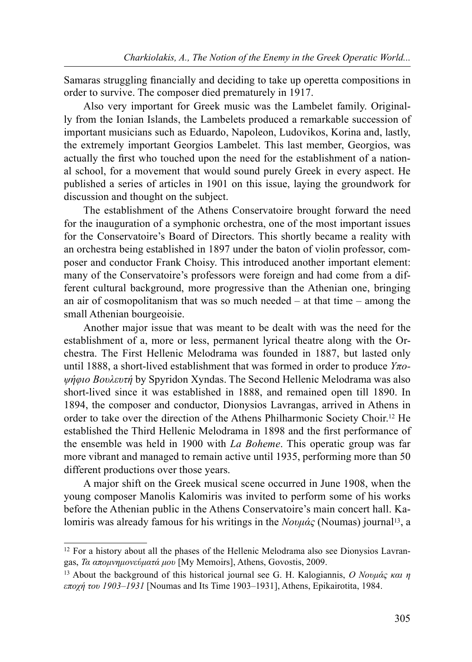Samaras struggling financially and deciding to take up operetta compositions in order to survive. The composer died prematurely in 1917.

Also very important for Greek music was the Lambelet family. Originally from the Ionian Islands, the Lambelets produced a remarkable succession of important musicians such as Eduardo, Napoleon, Ludovikos, Korina and, lastly, the extremely important Georgios Lambelet. This last member, Georgios, was actually the first who touched upon the need for the establishment of a national school, for a movement that would sound purely Greek in every aspect. He published a series of articles in 1901 on this issue, laying the groundwork for discussion and thought on the subject.

The establishment of the Athens Conservatoire brought forward the need for the inauguration of a symphonic orchestra, one of the most important issues for the Conservatoire's Board of Directors. This shortly became a reality with an orchestra being established in 1897 under the baton of violin professor, composer and conductor Frank Choisy. This introduced another important element: many of the Conservatoire's professors were foreign and had come from a different cultural background, more progressive than the Athenian one, bringing an air of cosmopolitanism that was so much needed – at that time – among the small Athenian bourgeoisie.

Another major issue that was meant to be dealt with was the need for the establishment of a, more or less, permanent lyrical theatre along with the Orchestra. The First Hellenic Melodrama was founded in 1887, but lasted only until 1888, a short-lived establishment that was formed in order to produce  $Y_{\pi o}$ ψήφιο Βουλευτή by Spyridon Xyndas. The Second Hellenic Melodrama was also short-lived since it was established in 1888, and remained open till 1890. In 1894, the composer and conductor, Dionysios Lavrangas, arrived in Athens in order to take over the direction of the Athens Philharmonic Society Choir.12 He established the Third Hellenic Melodrama in 1898 and the first performance of the ensemble was held in 1900 with La Boheme. This operatic group was far more vibrant and managed to remain active until 1935, performing more than 50 different productions over those years.

A major shift on the Greek musical scene occurred in June 1908, when the young composer Manolis Kalomiris was invited to perform some of his works before the Athenian public in the Athens Conservatoire's main concert hall. Kalomiris was already famous for his writings in the  $Novu\alpha\zeta$  (Noumas) journal<sup>13</sup>, a

<sup>&</sup>lt;sup>12</sup> For a history about all the phases of the Hellenic Melodrama also see Dionysios Lavrangas, Τα απομνημονεύματά μου [My Memoirs], Athens, Govostis, 2009.

<sup>&</sup>lt;sup>13</sup> About the background of this historical journal see G. H. Kalogiannis, Ο Νουμάς και η εποχή του 1903–1931 [Noumas and Its Time 1903–1931], Athens, Epikairotita, 1984.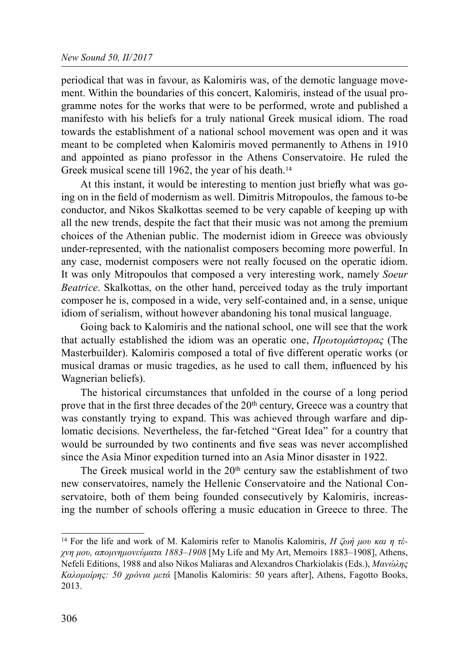periodical that was in favour, as Kalomiris was, of the demotic language movement. Within the boundaries of this concert, Kalomiris, instead of the usual programme notes for the works that were to be performed, wrote and published a manifesto with his beliefs for a truly national Greek musical idiom. The road towards the establishment of a national school movement was open and it was meant to be completed when Kalomiris moved permanently to Athens in 1910 and appointed as piano professor in the Athens Conservatoire. He ruled the Greek musical scene till 1962, the year of his death.<sup>14</sup>

At this instant, it would be interesting to mention just briefly what was going on in the field of modernism as well. Dimitris Mitropoulos, the famous to-be conductor, and Nikos Skalkottas seemed to be very capable of keeping up with all the new trends, despite the fact that their music was not among the premium choices of the Athenian public. The modernist idiom in Greece was obviously under-represented, with the nationalist composers becoming more powerful. In any case, modernist composers were not really focused on the operatic idiom. It was only Mitropoulos that composed a very interesting work, namely Soeur Beatrice. Skalkottas, on the other hand, perceived today as the truly important composer he is, composed in a wide, very self-contained and, in a sense, unique idiom of serialism, without however abandoning his tonal musical language.

Going back to Kalomiris and the national school, one will see that the work that actually established the idiom was an operatic one,  $\Pi \rho \omega \tau \omega \rho \alpha \sigma \tau \rho \rho \alpha \zeta$  (The Masterbuilder). Kalomiris composed a total of five different operatic works (or musical dramas or music tragedies, as he used to call them, influenced by his Wagnerian beliefs).

The historical circumstances that unfolded in the course of a long period prove that in the first three decades of the  $20<sup>th</sup>$  century, Greece was a country that was constantly trying to expand. This was achieved through warfare and diplomatic decisions. Nevertheless, the far-fetched "Great Idea" for a country that would be surrounded by two continents and five seas was never accomplished since the Asia Minor expedition turned into an Asia Minor disaster in 1922.

The Greek musical world in the  $20<sup>th</sup>$  century saw the establishment of two new conservatoires, namely the Hellenic Conservatoire and the National Conservatoire, both of them being founded consecutively by Kalomiris, increasing the number of schools offering a music education in Greece to three. The

<sup>&</sup>lt;sup>14</sup> For the life and work of M. Kalomiris refer to Manolis Kalomiris, Η ζωή μου και η τέχνη μου, απομνημονεύματα 1883–1908 [My Life and My Art, Memoirs 1883–1908], Athens, Nefeli Editions, 1988 and also Nikos Maliaras and Alexandros Charkiolakis (Eds.), Μανώλης Καλομοίρης: 50 χρόνια μετά [Manolis Kalomiris: 50 years after], Athens, Fagotto Books, 2013.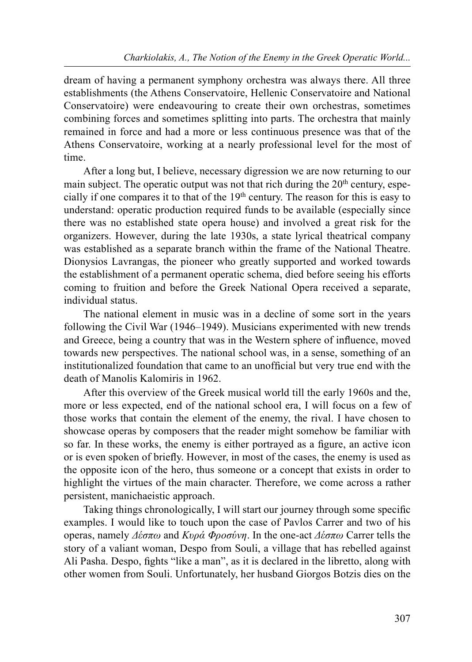dream of having a permanent symphony orchestra was always there. All three establishments (the Athens Conservatoire, Hellenic Conservatoire and National Conservatoire) were endeavouring to create their own orchestras, sometimes combining forces and sometimes splitting into parts. The orchestra that mainly remained in force and had a more or less continuous presence was that of the Athens Conservatoire, working at a nearly professional level for the most of time.

After a long but, I believe, necessary digression we are now returning to our main subject. The operatic output was not that rich during the  $20<sup>th</sup>$  century, especially if one compares it to that of the 19<sup>th</sup> century. The reason for this is easy to understand: operatic production required funds to be available (especially since there was no established state opera house) and involved a great risk for the organizers. However, during the late 1930s, a state lyrical theatrical company was established as a separate branch within the frame of the National Theatre. Dionysios Lavrangas, the pioneer who greatly supported and worked towards the establishment of a permanent operatic schema, died before seeing his efforts coming to fruition and before the Greek National Opera received a separate, individual status.

The national element in music was in a decline of some sort in the years following the Civil War (1946–1949). Musicians experimented with new trends and Greece, being a country that was in the Western sphere of influence, moved towards new perspectives. The national school was, in a sense, something of an institutionalized foundation that came to an unofficial but very true end with the death of Manolis Kalomiris in 1962.

After this overview of the Greek musical world till the early 1960s and the, more or less expected, end of the national school era, I will focus on a few of those works that contain the element of the enemy, the rival. I have chosen to showcase operas by composers that the reader might somehow be familiar with so far. In these works, the enemy is either portrayed as a figure, an active icon or is even spoken of briefly. However, in most of the cases, the enemy is used as the opposite icon of the hero, thus someone or a concept that exists in order to highlight the virtues of the main character. Therefore, we come across a rather persistent, manichaeistic approach.

Taking things chronologically, I will start our journey through some specific examples. I would like to touch upon the case of Pavlos Carrer and two of his operas, namely Δέσπω and Κυρά Φροσύνη. In the one-act Δέσπω Carrer tells the story of a valiant woman, Despo from Souli, a village that has rebelled against Ali Pasha. Despo, fights "like a man", as it is declared in the libretto, along with other women from Souli. Unfortunately, her husband Giorgos Botzis dies on the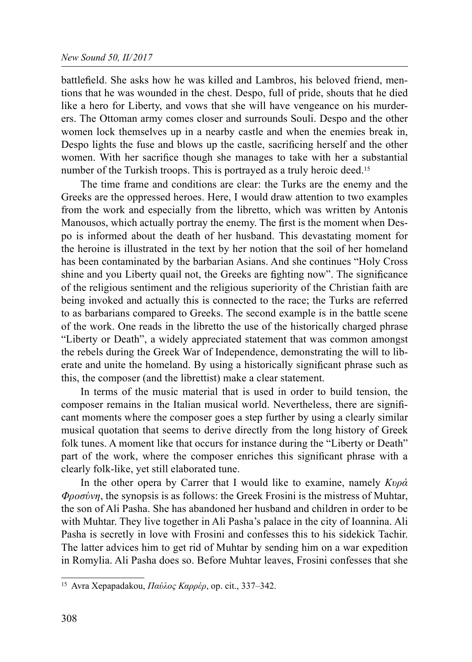battle field. She asks how he was killed and Lambros, his beloved friend, mentions that he was wounded in the chest. Despo, full of pride, shouts that he died like a hero for Liberty, and vows that she will have vengeance on his murderers. The Ottoman army comes closer and surrounds Souli. Despo and the other women lock themselves up in a nearby castle and when the enemies break in, Despo lights the fuse and blows up the castle, sacrificing herself and the other women. With her sacrifice though she manages to take with her a substantial number of the Turkish troops. This is portrayed as a truly heroic deed.<sup>15</sup>

The time frame and conditions are clear: the Turks are the enemy and the Greeks are the oppressed heroes. Here, I would draw attention to two examples from the work and especially from the libretto, which was written by Antonis Manousos, which actually portray the enemy. The first is the moment when Despo is informed about the death of her husband. This devastating moment for the heroine is illustrated in the text by her notion that the soil of her homeland has been contaminated by the barbarian Asians. And she continues "Holy Cross shine and you Liberty quail not, the Greeks are fighting now". The significance of the religious sentiment and the religious superiority of the Christian faith are being invoked and actually this is connected to the race; the Turks are referred to as barbarians compared to Greeks. The second example is in the battle scene of the work. One reads in the libretto the use of the historically charged phrase "Liberty or Death", a widely appreciated statement that was common amongst the rebels during the Greek War of Independence, demonstrating the will to liberate and unite the homeland. By using a historically significant phrase such as this, the composer (and the librettist) make a clear statement.

In terms of the music material that is used in order to build tension, the composer remains in the Italian musical world. Nevertheless, there are significant moments where the composer goes a step further by using a clearly similar musical quotation that seems to derive directly from the long history of Greek folk tunes. A moment like that occurs for instance during the "Liberty or Death" part of the work, where the composer enriches this significant phrase with a clearly folk-like, yet still elaborated tune.

In the other opera by Carrer that I would like to examine, namely  $K\nu\rho\alpha$  $\Phi$ ροσύνη, the synopsis is as follows: the Greek Frosini is the mistress of Muhtar, the son of Ali Pasha. She has abandoned her husband and children in order to be with Muhtar. They live together in Ali Pasha's palace in the city of Ioannina. Ali Pasha is secretly in love with Frosini and confesses this to his sidekick Tachir. The latter advices him to get rid of Muhtar by sending him on a war expedition in Romylia. Ali Pasha does so. Before Muhtar leaves, Frosini confesses that she

<sup>&</sup>lt;sup>15</sup> Avra Xepapadakou, Παύλος Καρρέρ, op. cit., 337–342.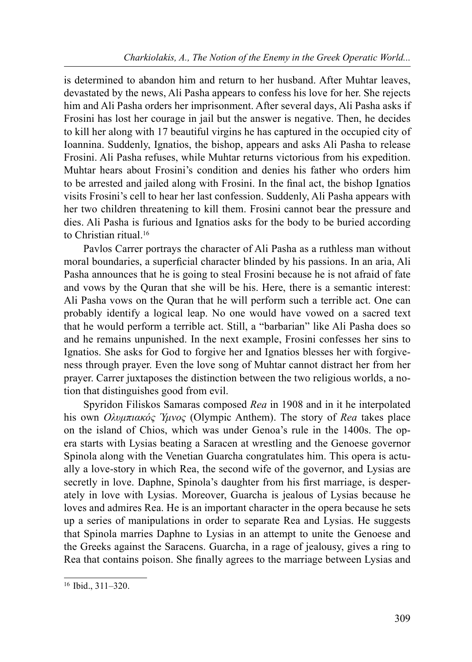is determined to abandon him and return to her husband. After Muhtar leaves, devastated by the news, Ali Pasha appears to confess his love for her. She rejects him and Ali Pasha orders her imprisonment. After several days, Ali Pasha asks if Frosini has lost her courage in jail but the answer is negative. Then, he decides to kill her along with 17 beautiful virgins he has captured in the occupied city of Ioannina. Suddenly, Ignatios, the bishop, appears and asks Ali Pasha to release Frosini. Ali Pasha refuses, while Muhtar returns victorious from his expedition. Muhtar hears about Frosini's condition and denies his father who orders him to be arrested and jailed along with Frosini. In the final act, the bishop Ignatios visits Frosini's cell to hear her last confession. Suddenly, Ali Pasha appears with her two children threatening to kill them. Frosini cannot bear the pressure and dies. Ali Pasha is furious and Ignatios asks for the body to be buried according to Christian ritual<sup>16</sup>

Pavlos Carrer portrays the character of Ali Pasha as a ruthless man without moral boundaries, a superficial character blinded by his passions. In an aria, Ali Pasha announces that he is going to steal Frosini because he is not afraid of fate and vows by the Quran that she will be his. Here, there is a semantic interest: Ali Pasha vows on the Quran that he will perform such a terrible act. One can probably identify a logical leap. No one would have vowed on a sacred text that he would perform a terrible act. Still, a "barbarian" like Ali Pasha does so and he remains unpunished. In the next example, Frosini confesses her sins to Ignatios. She asks for God to forgive her and Ignatios blesses her with forgiveness through prayer. Even the love song of Muhtar cannot distract her from her prayer. Carrer juxtaposes the distinction between the two religious worlds, a notion that distinguishes good from evil.

Spyridon Filiskos Samaras composed Rea in 1908 and in it he interpolated his own *Ολυμπιακός Ύμνος* (Olympic Anthem). The story of Rea takes place on the island of Chios, which was under Genoa's rule in the 1400s. The opera starts with Lysias beating a Saracen at wrestling and the Genoese governor Spinola along with the Venetian Guarcha congratulates him. This opera is actually a love-story in which Rea, the second wife of the governor, and Lysias are secretly in love. Daphne, Spinola's daughter from his first marriage, is desperately in love with Lysias. Moreover, Guarcha is jealous of Lysias because he loves and admires Rea. He is an important character in the opera because he sets up a series of manipulations in order to separate Rea and Lysias. He suggests that Spinola marries Daphne to Lysias in an attempt to unite the Genoese and the Greeks against the Saracens. Guarcha, in a rage of jealousy, gives a ring to Rea that contains poison. She finally agrees to the marriage between Lysias and

<sup>16</sup> Ibid., 311–320.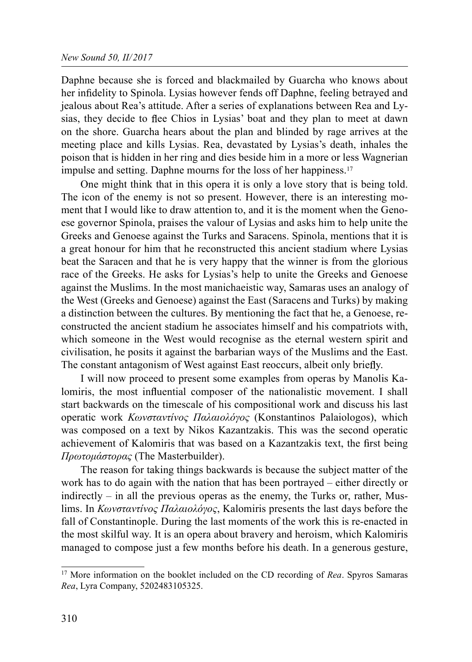Daphne because she is forced and blackmailed by Guarcha who knows about her infidelity to Spinola. Lysias however fends off Daphne, feeling betrayed and jealous about Rea's attitude. After a series of explanations between Rea and Lysias, they decide to flee Chios in Lysias' boat and they plan to meet at dawn on the shore. Guarcha hears about the plan and blinded by rage arrives at the meeting place and kills Lysias. Rea, devastated by Lysias's death, inhales the poison that is hidden in her ring and dies beside him in a more or less Wagnerian impulse and setting. Daphne mourns for the loss of her happiness.17

One might think that in this opera it is only a love story that is being told. The icon of the enemy is not so present. However, there is an interesting moment that I would like to draw attention to, and it is the moment when the Genoese governor Spinola, praises the valour of Lysias and asks him to help unite the Greeks and Genoese against the Turks and Saracens. Spinola, mentions that it is a great honour for him that he reconstructed this ancient stadium where Lysias beat the Saracen and that he is very happy that the winner is from the glorious race of the Greeks. He asks for Lysias's help to unite the Greeks and Genoese against the Muslims. In the most manichaeistic way, Samaras uses an analogy of the West (Greeks and Genoese) against the East (Saracens and Turks) by making a distinction between the cultures. By mentioning the fact that he, a Genoese, reconstructed the ancient stadium he associates himself and his compatriots with, which someone in the West would recognise as the eternal western spirit and civilisation, he posits it against the barbarian ways of the Muslims and the East. The constant antagonism of West against East reoccurs, albeit only briefly.

I will now proceed to present some examples from operas by Manolis Kalomiris, the most influential composer of the nationalistic movement. I shall start backwards on the timescale of his compositional work and discuss his last operatic work Κωνσταντίνος Παλαιολόγος (Konstantinos Palaiologos), which was composed on a text by Nikos Kazantzakis. This was the second operatic achievement of Kalomiris that was based on a Kazantzakis text, the first being Πρωτομάστορας (The Masterbuilder).

The reason for taking things backwards is because the subject matter of the work has to do again with the nation that has been portrayed – either directly or indirectly  $-$  in all the previous operas as the enemy, the Turks or, rather, Muslims. In Κωνσταντίνος Παλαιολόγος, Kalomiris presents the last days before the fall of Constantinople. During the last moments of the work this is re-enacted in the most skilful way. It is an opera about bravery and heroism, which Kalomiris managed to compose just a few months before his death. In a generous gesture,

<sup>&</sup>lt;sup>17</sup> More information on the booklet included on the CD recording of Rea. Spyros Samaras Rea, Lyra Company, 5202483105325.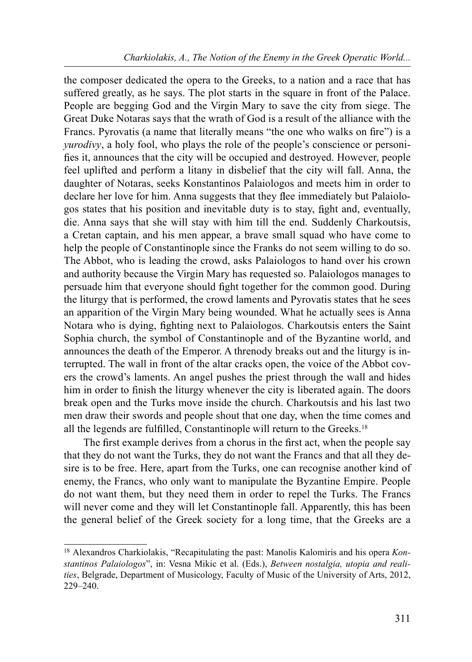the composer dedicated the opera to the Greeks, to a nation and a race that has suffered greatly, as he says. The plot starts in the square in front of the Palace. People are begging God and the Virgin Mary to save the city from siege. The Great Duke Notaras says that the wrath of God is a result of the alliance with the Francs. Pyrovatis (a name that literally means "the one who walks on fire") is a yurodivy, a holy fool, who plays the role of the people's conscience or personi es it, announces that the city will be occupied and destroyed. However, people feel uplifted and perform a litany in disbelief that the city will fall. Anna, the daughter of Notaras, seeks Konstantinos Palaiologos and meets him in order to declare her love for him. Anna suggests that they flee immediately but Palaiologos states that his position and inevitable duty is to stay, fight and, eventually, die. Anna says that she will stay with him till the end. Suddenly Charkoutsis, a Cretan captain, and his men appear, a brave small squad who have come to help the people of Constantinople since the Franks do not seem willing to do so. The Abbot, who is leading the crowd, asks Palaiologos to hand over his crown and authority because the Virgin Mary has requested so. Palaiologos manages to persuade him that everyone should fight together for the common good. During the liturgy that is performed, the crowd laments and Pyrovatis states that he sees an apparition of the Virgin Mary being wounded. What he actually sees is Anna Notara who is dying, fighting next to Palaiologos. Charkoutsis enters the Saint Sophia church, the symbol of Constantinople and of the Byzantine world, and announces the death of the Emperor. A threnody breaks out and the liturgy is interrupted. The wall in front of the altar cracks open, the voice of the Abbot covers the crowd's laments. An angel pushes the priest through the wall and hides him in order to finish the liturgy whenever the city is liberated again. The doors break open and the Turks move inside the church. Charkoutsis and his last two men draw their swords and people shout that one day, when the time comes and all the legends are fulfilled, Constantinople will return to the Greeks.<sup>18</sup>

The first example derives from a chorus in the first act, when the people say that they do not want the Turks, they do not want the Francs and that all they desire is to be free. Here, apart from the Turks, one can recognise another kind of enemy, the Francs, who only want to manipulate the Byzantine Empire. People do not want them, but they need them in order to repel the Turks. The Francs will never come and they will let Constantinople fall. Apparently, this has been the general belief of the Greek society for a long time, that the Greeks are a

<sup>&</sup>lt;sup>18</sup> Alexandros Charkiolakis, "Recapitulating the past: Manolis Kalomiris and his opera Konstantinos Palaiologos", in: Vesna Mikic et al. (Eds.), Between nostalgia, utopia and realities, Belgrade, Department of Musicology, Faculty of Music of the University of Arts, 2012, 229–240.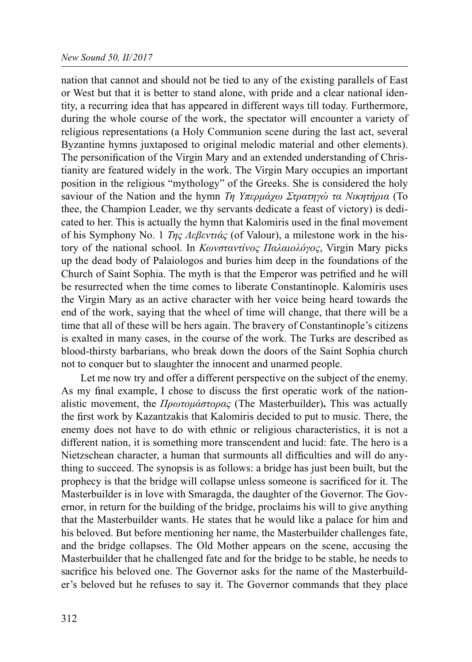### New Sound 50, II/2017

nation that cannot and should not be tied to any of the existing parallels of East or West but that it is better to stand alone, with pride and a clear national identity, a recurring idea that has appeared in different ways till today. Furthermore, during the whole course of the work, the spectator will encounter a variety of religious representations (a Holy Communion scene during the last act, several Byzantine hymns juxtaposed to original melodic material and other elements). The personification of the Virgin Mary and an extended understanding of Christianity are featured widely in the work. The Virgin Mary occupies an important position in the religious "mythology" of the Greeks. She is considered the holy saviour of the Nation and the hymn *Τη Υπερμάχω Στρατηγώ τα Νικητήρια* (To thee, the Champion Leader, we thy servants dedicate a feast of victory) is dedicated to her. This is actually the hymn that Kalomiris used in the final movement of his Symphony No. 1 *Της Λεβεντιάς* (of Valour), a milestone work in the history of the national school. In Κωνσταντίνος Παλαιολόγος, Virgin Mary picks up the dead body of Palaiologos and buries him deep in the foundations of the Church of Saint Sophia. The myth is that the Emperor was petrified and he will be resurrected when the time comes to liberate Constantinople. Kalomiris uses the Virgin Mary as an active character with her voice being heard towards the end of the work, saying that the wheel of time will change, that there will be a time that all of these will be hers again. The bravery of Constantinople's citizens is exalted in many cases, in the course of the work. The Turks are described as blood-thirsty barbarians, who break down the doors of the Saint Sophia church not to conquer but to slaughter the innocent and unarmed people.

Let me now try and offer a different perspective on the subject of the enemy. As my final example, I chose to discuss the first operatic work of the nationalistic movement, the  $\Pi_{\rho\omega\tau\omega\mu\alpha\sigma\tau\sigma\rho\alpha\alpha}$  (The Masterbuilder). This was actually the first work by Kazantzakis that Kalomiris decided to put to music. There, the enemy does not have to do with ethnic or religious characteristics, it is not a different nation, it is something more transcendent and lucid: fate. The hero is a Nietzschean character, a human that surmounts all difficulties and will do anything to succeed. The synopsis is as follows: a bridge has just been built, but the prophecy is that the bridge will collapse unless someone is sacrificed for it. The Masterbuilder is in love with Smaragda, the daughter of the Governor. The Governor, in return for the building of the bridge, proclaims his will to give anything that the Masterbuilder wants. He states that he would like a palace for him and his beloved. But before mentioning her name, the Masterbuilder challenges fate, and the bridge collapses. The Old Mother appears on the scene, accusing the Masterbuilder that he challenged fate and for the bridge to be stable, he needs to sacrifice his beloved one. The Governor asks for the name of the Masterbuilder's beloved but he refuses to say it. The Governor commands that they place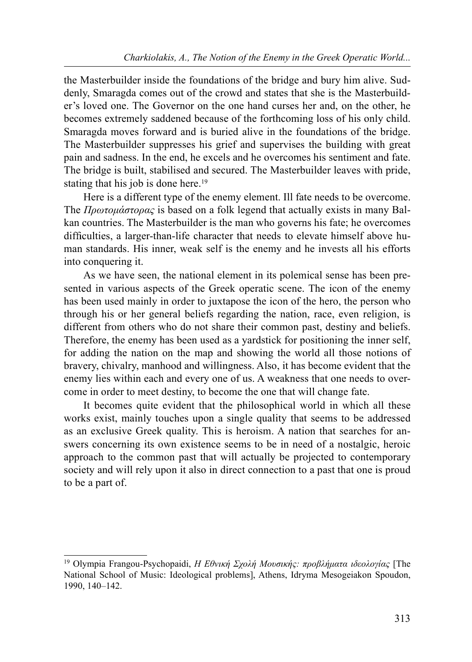the Masterbuilder inside the foundations of the bridge and bury him alive. Suddenly, Smaragda comes out of the crowd and states that she is the Masterbuilder's loved one. The Governor on the one hand curses her and, on the other, he becomes extremely saddened because of the forthcoming loss of his only child. Smaragda moves forward and is buried alive in the foundations of the bridge. The Masterbuilder suppresses his grief and supervises the building with great pain and sadness. In the end, he excels and he overcomes his sentiment and fate. The bridge is built, stabilised and secured. The Masterbuilder leaves with pride, stating that his job is done here.<sup>19</sup>

Here is a different type of the enemy element. Ill fate needs to be overcome. The Πρωτομάστορας is based on a folk legend that actually exists in many Balkan countries. The Masterbuilder is the man who governs his fate; he overcomes difficulties, a larger-than-life character that needs to elevate himself above human standards. His inner, weak self is the enemy and he invests all his efforts into conquering it.

As we have seen, the national element in its polemical sense has been presented in various aspects of the Greek operatic scene. The icon of the enemy has been used mainly in order to juxtapose the icon of the hero, the person who through his or her general beliefs regarding the nation, race, even religion, is different from others who do not share their common past, destiny and beliefs. Therefore, the enemy has been used as a yardstick for positioning the inner self, for adding the nation on the map and showing the world all those notions of bravery, chivalry, manhood and willingness. Also, it has become evident that the enemy lies within each and every one of us. A weakness that one needs to overcome in order to meet destiny, to become the one that will change fate.

It becomes quite evident that the philosophical world in which all these works exist, mainly touches upon a single quality that seems to be addressed as an exclusive Greek quality. This is heroism. A nation that searches for answers concerning its own existence seems to be in need of a nostalgic, heroic approach to the common past that will actually be projected to contemporary society and will rely upon it also in direct connection to a past that one is proud to be a part of.

<sup>&</sup>lt;sup>19</sup> Olympia Frangou-Psychopaidi, Η Εθνική Σχολή Μουσικής: προβλήματα ιδεολογίας [The National School of Music: Ideological problems], Athens, Idryma Mesogeiakon Spoudon, 1990, 140–142.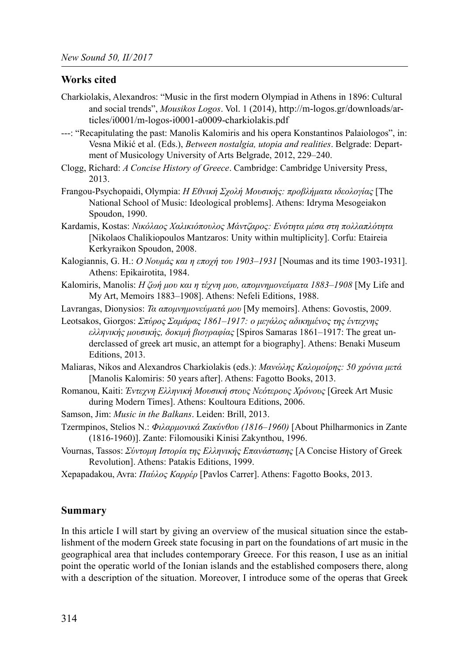#### Works cited

- Charkiolakis, Alexandros: "Music in the first modern Olympiad in Athens in 1896: Cultural and social trends", Mousikos Logos. Vol. 1 (2014), http://m-logos.gr/downloads/articles/i0001/m-logos-i0001-a0009-charkiolakis.pdf
- ---: "Recapitulating the past: Manolis Kalomiris and his opera Konstantinos Palaiologos", in: Vesna Mikić et al. (Eds.), Between nostalgia, utopia and realities. Belgrade: Department of Musicology University of Arts Belgrade, 2012, 229–240.
- Clogg, Richard: A Concise History of Greece. Cambridge: Cambridge University Press, 2013.
- Frangou-Psychopaidi, Olympia: Η Εθνική Σχολή Μουσικής: προβλήματα ιδεολογίας [The National School of Music: Ideological problems]. Athens: Idryma Mesogeiakon Spoudon, 1990.
- Kardamis, Kostas: Νικόλαος Χαλικιόπουλος Μάντζαρος: Ενότητα μέσα στη πολλαπλότητα [Nikolaos Chalikiopoulos Mantzaros: Unity within multiplicity]. Corfu: Etaireia Kerkyraikon Spoudon, 2008.
- Kalogiannis, G. H.: Ο Νουμάς και η εποχή του 1903–1931 [Noumas and its time 1903-1931]. Athens: Epikairotita, 1984.
- Kalomiris, Manolis: Η ζωή μου και η τέχνη μου, απομνημονεύματα 1883–1908 [My Life and My Art, Memoirs 1883–1908]. Athens: Nefeli Editions, 1988.
- Lavrangas, Dionysios: Τα απομνημονεύματά μου [My memoirs]. Athens: Govostis, 2009.
- Leotsakos, Giorgos: Σπύρος Σαμάρας 1861–1917: ο μεγάλος αδικημένος της έντεχνης ελληνικής μουσικής, δοκιμή βιογραφίας [Spiros Samaras 1861–1917: The great underclassed of greek art music, an attempt for a biography]. Athens: Benaki Museum Editions, 2013.
- Maliaras, Nikos and Alexandros Charkiolakis (eds.): Μανώλης Καλομοίρης: 50 χρόνια μετά [Manolis Kalomiris: 50 years after]. Athens: Fagotto Books, 2013.
- Romanou, Kaiti: Έντεχνη Ελληνική Μουσική στους Νεότερους Χρόνους [Greek Art Music during Modern Times]. Athens: Koultoura Editions, 2006.
- Samson, Jim: Music in the Balkans. Leiden: Brill, 2013.
- Tzermpinos, Stelios N.: Φιλαρμονικά Ζακύνθου (1816–1960) [About Philharmonics in Zante (1816-1960)]. Zante: Filomousiki Kinisi Zakynthou, 1996.
- Vournas, Tassos: Σύντομη Ιστορία της Ελληνικής Επανάστασης [A Concise History of Greek Revolution]. Athens: Patakis Editions, 1999.
- Xepapadakou, Avra: Παύλος Καρρέρ [Pavlos Carrer]. Athens: Fagotto Books, 2013.

#### Summary

In this article I will start by giving an overview of the musical situation since the establishment of the modern Greek state focusing in part on the foundations of art music in the geographical area that includes contemporary Greece. For this reason, I use as an initial point the operatic world of the Ionian islands and the established composers there, along with a description of the situation. Moreover, I introduce some of the operas that Greek